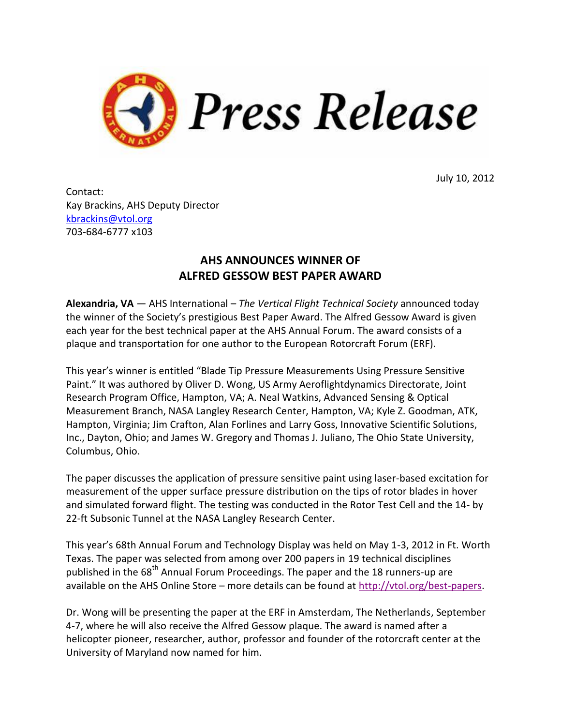

July 10, 2012

Contact: Kay Brackins, AHS Deputy Director [kbrackins@vtol.org](mailto:kbrackins@vtol.org) 703-684-6777 x103

## **AHS ANNOUNCES WINNER OF ALFRED GESSOW BEST PAPER AWARD**

**Alexandria, VA** — AHS International – *The Vertical Flight Technical Society* announced today the winner of the Society's prestigious Best Paper Award. The Alfred Gessow Award is given each year for the best technical paper at the AHS Annual Forum. The award consists of a plaque and transportation for one author to the European Rotorcraft Forum (ERF).

This year's winner is entitled "Blade Tip Pressure Measurements Using Pressure Sensitive Paint." It was authored by Oliver D. Wong, US Army Aeroflightdynamics Directorate, Joint Research Program Office, Hampton, VA; A. Neal Watkins, Advanced Sensing & Optical Measurement Branch, NASA Langley Research Center, Hampton, VA; Kyle Z. Goodman, ATK, Hampton, Virginia; Jim Crafton, Alan Forlines and Larry Goss, Innovative Scientific Solutions, Inc., Dayton, Ohio; and James W. Gregory and Thomas J. Juliano, The Ohio State University, Columbus, Ohio.

The paper discusses the application of pressure sensitive paint using laser-based excitation for measurement of the upper surface pressure distribution on the tips of rotor blades in hover and simulated forward flight. The testing was conducted in the Rotor Test Cell and the 14- by 22-ft Subsonic Tunnel at the NASA Langley Research Center.

This year's 68th Annual Forum and Technology Display was held on May 1-3, 2012 in Ft. Worth Texas. The paper was selected from among over 200 papers in 19 technical disciplines published in the 68<sup>th</sup> Annual Forum Proceedings. The paper and the 18 runners-up are available on the AHS Online Store – more details can be found at [http://vtol.org/best-papers.](http://vtol.org/best-papers)

Dr. Wong will be presenting the paper at the ERF in Amsterdam, The Netherlands, September 4-7, where he will also receive the Alfred Gessow plaque. The award is named after a helicopter pioneer, researcher, author, professor and founder of the rotorcraft center at the University of Maryland now named for him.